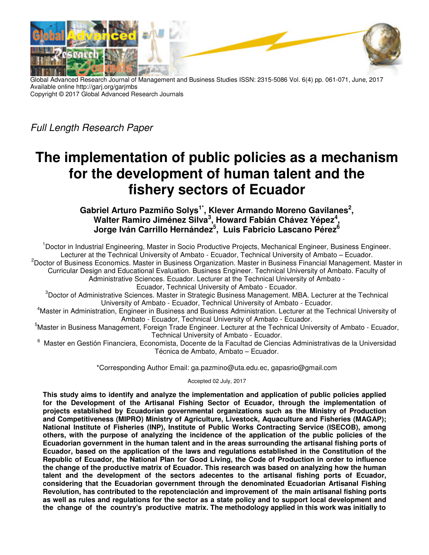

Global Advanced Research Journal of Management and Business Studies ISSN: 2315-5086 Vol. 6(4) pp. 061-071, June, 2017 Available online http://garj.org/garjmbs Copyright © 2017 Global Advanced Research Journals

Full Length Research Paper

# **The implementation of public policies as a mechanism for the development of human talent and the fishery sectors of Ecuador**

**Gabriel Arturo Pazmiño Solys1\*, Klever Armando Moreno Gavilanes<sup>2</sup> ,**  Walter Ramiro Jiménez Silva<sup>3</sup>, Howard Fabián Chávez Yépez<sup>4</sup>, **Jorge Iván Carrillo Hernández<sup>5</sup> , Luis Fabricio Lascano Pérez<sup>6</sup>**

<sup>1</sup>Doctor in Industrial Engineering, Master in Socio Productive Projects, Mechanical Engineer, Business Engineer. Lecturer at the Technical University of Ambato - Ecuador, Technical University of Ambato – Ecuador. <sup>2</sup>Doctor of Business Economics. Master in Business Organization. Master in Business Financial Management. Master in Curricular Design and Educational Evaluation. Business Engineer. Technical University of Ambato. Faculty of Administrative Sciences. Ecuador. Lecturer at the Technical University of Ambato - Ecuador, Technical University of Ambato - Ecuador.

<sup>3</sup>Doctor of Administrative Sciences. Master in Strategic Business Management. MBA. Lecturer at the Technical University of Ambato - Ecuador, Technical University of Ambato - Ecuador.

<sup>4</sup>Master in Administration, Engineer in Business and Business Administration. Lecturer at the Technical University of Ambato - Ecuador, Technical University of Ambato - Ecuador.

<sup>5</sup>Master in Business Management, Foreign Trade Engineer. Lecturer at the Technical University of Ambato - Ecuador, Technical University of Ambato - Ecuador.

6 Master en Gestión Financiera, Economista, Docente de la Facultad de Ciencias Administrativas de la Universidad Técnica de Ambato, Ambato – Ecuador.

\*Corresponding Author Email: ga.pazmino@uta.edu.ec, gapasrio@gmail.com

Accepted 02 July, 2017

**This study aims to identify and analyze the implementation and application of public policies applied for the Development of the Artisanal Fishing Sector of Ecuador, through the implementation of projects established by Ecuadorian governmental organizations such as the Ministry of Production and Competitiveness (MIPRO) Ministry of Agriculture, Livestock, Aquaculture and Fisheries (MAGAP); National Institute of Fisheries (INP), Institute of Public Works Contracting Service (ISECOB), among others, with the purpose of analyzing the incidence of the application of the public policies of the Ecuadorian government in the human talent and in the areas surrounding the artisanal fishing ports of Ecuador, based on the application of the laws and regulations established in the Constitution of the Republic of Ecuador, the National Plan for Good Living, the Code of Production in order to influence the change of the productive matrix of Ecuador. This research was based on analyzing how the human talent and the development of the sectors adecentes to the artisanal fishing ports of Ecuador, considering that the Ecuadorian government through the denominated Ecuadorian Artisanal Fishing Revolution, has contributed to the repotenciación and improvement of the main artisanal fishing ports as well as rules and regulations for the sector as a state policy and to support local development and the change of the country's productive matrix. The methodology applied in this work was initially to**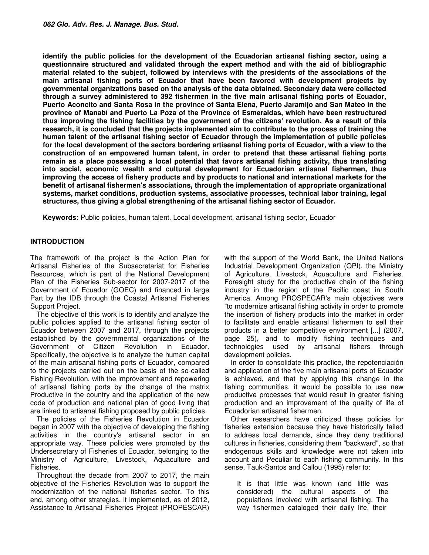**identify the public policies for the development of the Ecuadorian artisanal fishing sector, using a questionnaire structured and validated through the expert method and with the aid of bibliographic material related to the subject, followed by interviews with the presidents of the associations of the main artisanal fishing ports of Ecuador that have been favored with development projects by governmental organizations based on the analysis of the data obtained. Secondary data were collected through a survey administered to 392 fishermen in the five main artisanal fishing ports of Ecuador, Puerto Aconcito and Santa Rosa in the province of Santa Elena, Puerto Jaramijo and San Mateo in the province of Manabí and Puerto La Poza of the Province of Esmeraldas, which have been restructured thus improving the fishing facilities by the government of the citizens' revolution. As a result of this research, it is concluded that the projects implemented aim to contribute to the process of training the human talent of the artisanal fishing sector of Ecuador through the implementation of public policies for the local development of the sectors bordering artisanal fishing ports of Ecuador, with a view to the construction of an empowered human talent, in order to pretend that these artisanal fishing ports remain as a place possessing a local potential that favors artisanal fishing activity, thus translating into social, economic wealth and cultural development for Ecuadorian artisanal fishermen, thus improving the access of fishery products and by products to national and international markets for the benefit of artisanal fishermen's associations, through the implementation of appropriate organizational systems, market conditions, production systems, associative processes, technical labor training, legal structures, thus giving a global strengthening of the artisanal fishing sector of Ecuador.** 

**Keywords:** Public policies, human talent. Local development, artisanal fishing sector, Ecuador

## **INTRODUCTION**

The framework of the project is the Action Plan for Artisanal Fisheries of the Subsecretariat for Fisheries Resources, which is part of the National Development Plan of the Fisheries Sub-sector for 2007-2017 of the Government of Ecuador (GOEC) and financed in large Part by the IDB through the Coastal Artisanal Fisheries Support Project.

The objective of this work is to identify and analyze the public policies applied to the artisanal fishing sector of Ecuador between 2007 and 2017, through the projects established by the governmental organizations of the Government of Citizen Revolution in Ecuador. Specifically, the objective is to analyze the human capital of the main artisanal fishing ports of Ecuador, compared to the projects carried out on the basis of the so-called Fishing Revolution, with the improvement and repowering of artisanal fishing ports by the change of the matrix Productive in the country and the application of the new code of production and national plan of good living that are linked to artisanal fishing proposed by public policies.

The policies of the Fisheries Revolution in Ecuador began in 2007 with the objective of developing the fishing activities in the country's artisanal sector in an appropriate way. These policies were promoted by the Undersecretary of Fisheries of Ecuador, belonging to the Ministry of Agriculture, Livestock, Aquaculture and Fisheries.

Throughout the decade from 2007 to 2017, the main objective of the Fisheries Revolution was to support the modernization of the national fisheries sector. To this end, among other strategies, it implemented, as of 2012, Assistance to Artisanal Fisheries Project (PROPESCAR)

with the support of the World Bank, the United Nations Industrial Development Organization (OPI), the Ministry of Agriculture, Livestock, Aquaculture and Fisheries. Foresight study for the productive chain of the fishing industry in the region of the Pacific coast in South America. Among PROSPECAR's main objectives were "to modernize artisanal fishing activity in order to promote the insertion of fishery products into the market in order to facilitate and enable artisanal fishermen to sell their products in a better competitive environment [...] (2007, page 25), and to modify fishing techniques and technologies used by artisanal fishers through development policies.

In order to consolidate this practice, the repotenciación and application of the five main artisanal ports of Ecuador is achieved, and that by applying this change in the fishing communities, it would be possible to use new productive processes that would result in greater fishing production and an improvement of the quality of life of Ecuadorian artisanal fishermen.

Other researchers have criticized these policies for fisheries extension because they have historically failed to address local demands, since they deny traditional cultures in fisheries, considering them "backward", so that endogenous skills and knowledge were not taken into account and Peculiar to each fishing community. In this sense, Tauk-Santos and Callou (1995) refer to:

It is that little was known (and little was considered) the cultural aspects of the populations involved with artisanal fishing. The way fishermen cataloged their daily life, their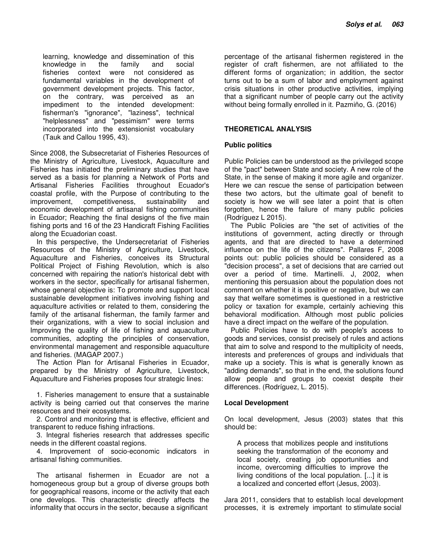learning, knowledge and dissemination of this knowledge in the family and social fisheries context were not considered as fundamental variables in the development of government development projects. This factor, on the contrary, was perceived as an impediment to the intended development: fisherman's "ignorance", "laziness", technical "helplessness" and "pessimism" were terms incorporated into the extensionist vocabulary (Tauk and Callou 1995, 43).

Since 2008, the Subsecretariat of Fisheries Resources of the Ministry of Agriculture, Livestock, Aquaculture and Fisheries has initiated the preliminary studies that have served as a basis for planning a Network of Ports and Artisanal Fisheries Facilities throughout Ecuador's coastal profile, with the Purpose of contributing to the improvement, competitiveness, sustainability and economic development of artisanal fishing communities in Ecuador; Reaching the final designs of the five main fishing ports and 16 of the 23 Handicraft Fishing Facilities along the Ecuadorian coast.

In this perspective, the Undersecretariat of Fisheries Resources of the Ministry of Agriculture, Livestock, Aquaculture and Fisheries, conceives its Structural Political Project of Fishing Revolution, which is also concerned with repairing the nation's historical debt with workers in the sector, specifically for artisanal fishermen, whose general objective is: To promote and support local sustainable development initiatives involving fishing and aquaculture activities or related to them, considering the family of the artisanal fisherman, the family farmer and their organizations, with a view to social inclusion and Improving the quality of life of fishing and aquaculture communities, adopting the principles of conservation, environmental management and responsible aquaculture and fisheries. (MAGAP 2007.)

The Action Plan for Artisanal Fisheries in Ecuador, prepared by the Ministry of Agriculture, Livestock, Aquaculture and Fisheries proposes four strategic lines:

1. Fisheries management to ensure that a sustainable activity is being carried out that conserves the marine resources and their ecosystems.

2. Control and monitoring that is effective, efficient and transparent to reduce fishing infractions.

3. Integral fisheries research that addresses specific needs in the different coastal regions.

4. Improvement of socio-economic indicators in artisanal fishing communities.

The artisanal fishermen in Ecuador are not a homogeneous group but a group of diverse groups both for geographical reasons, income or the activity that each one develops. This characteristic directly affects the informality that occurs in the sector, because a significant

percentage of the artisanal fishermen registered in the register of craft fishermen, are not affiliated to the different forms of organization; in addition, the sector turns out to be a sum of labor and employment against crisis situations in other productive activities, implying that a significant number of people carry out the activity without being formally enrolled in it. Pazmiño, G. (2016)

## **THEORETICAL ANALYSIS**

## **Public politics**

Public Policies can be understood as the privileged scope of the "pact" between State and society. A new role of the State, in the sense of making it more agile and organizer. Here we can rescue the sense of participation between these two actors, but the ultimate goal of benefit to society is how we will see later a point that is often forgotten, hence the failure of many public policies (Rodríguez L 2015).

The Public Policies are "the set of activities of the institutions of government, acting directly or through agents, and that are directed to have a determined influence on the life of the citizens". Pallares F, 2008 points out: public policies should be considered as a "decision process", a set of decisions that are carried out over a period of time. Martinelli. J, 2002, when mentioning this persuasion about the population does not comment on whether it is positive or negative, but we can say that welfare sometimes is questioned in a restrictive policy or taxation for example, certainly achieving this behavioral modification. Although most public policies have a direct impact on the welfare of the population.

Public Policies have to do with people's access to goods and services, consist precisely of rules and actions that aim to solve and respond to the multiplicity of needs, interests and preferences of groups and individuals that make up a society. This is what is generally known as "adding demands", so that in the end, the solutions found allow people and groups to coexist despite their differences. (Rodríguez, L. 2015).

## **Local Development**

On local development, Jesus (2003) states that this should be:

A process that mobilizes people and institutions seeking the transformation of the economy and local society, creating job opportunities and income, overcoming difficulties to improve the living conditions of the local population. [...] it is a localized and concerted effort (Jesus, 2003).

Jara 2011, considers that to establish local development processes, it is extremely important to stimulate social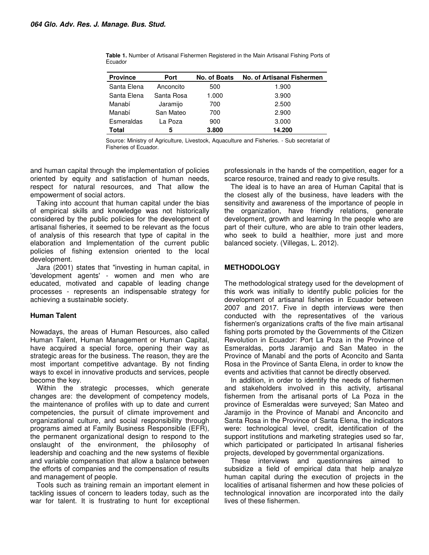| <b>Province</b> | Port       | No. of Boats | No. of Artisanal Fishermen |
|-----------------|------------|--------------|----------------------------|
| Santa Elena     | Anconcito  | 500          | 1.900                      |
| Santa Elena     | Santa Rosa | 1.000        | 3.900                      |
| Manabí          | Jaramijo   | 700          | 2.500                      |
| Manabí          | San Mateo  | 700          | 2.900                      |
| Esmeraldas      | La Poza    | 900          | 3.000                      |
| <b>Total</b>    | 5          | 3.800        | 14.200                     |

**Table 1.** Number of Artisanal Fishermen Registered in the Main Artisanal Fishing Ports of Ecuador

Source: Ministry of Agriculture, Livestock, Aquaculture and Fisheries. - Sub secretariat of Fisheries of Ecuador.

and human capital through the implementation of policies oriented by equity and satisfaction of human needs, respect for natural resources, and That allow the empowerment of social actors.

Taking into account that human capital under the bias of empirical skills and knowledge was not historically considered by the public policies for the development of artisanal fisheries, it seemed to be relevant as the focus of analysis of this research that type of capital in the elaboration and Implementation of the current public policies of fishing extension oriented to the local development.

Jara (2001) states that "investing in human capital, in 'development agents' - women and men who are educated, motivated and capable of leading change processes - represents an indispensable strategy for achieving a sustainable society.

## **Human Talent**

Nowadays, the areas of Human Resources, also called Human Talent, Human Management or Human Capital, have acquired a special force, opening their way as strategic areas for the business. The reason, they are the most important competitive advantage. By not finding ways to excel in innovative products and services, people become the key.

Within the strategic processes, which generate changes are: the development of competency models, the maintenance of profiles with up to date and current competencies, the pursuit of climate improvement and organizational culture, and social responsibility through programs aimed at Family Business Responsible (EFR), the permanent organizational design to respond to the onslaught of the environment, the philosophy of leadership and coaching and the new systems of flexible and variable compensation that allow a balance between the efforts of companies and the compensation of results and management of people.

Tools such as training remain an important element in tackling issues of concern to leaders today, such as the war for talent. It is frustrating to hunt for exceptional professionals in the hands of the competition, eager for a scarce resource, trained and ready to give results.

The ideal is to have an area of Human Capital that is the closest ally of the business, have leaders with the sensitivity and awareness of the importance of people in the organization, have friendly relations, generate development, growth and learning In the people who are part of their culture, who are able to train other leaders, who seek to build a healthier, more just and more balanced society. (Villegas, L. 2012).

## **METHODOLOGY**

The methodological strategy used for the development of this work was initially to identify public policies for the development of artisanal fisheries in Ecuador between 2007 and 2017. Five in depth interviews were then conducted with the representatives of the various fishermen's organizations crafts of the five main artisanal fishing ports promoted by the Governments of the Citizen Revolution in Ecuador: Port La Poza in the Province of Esmeraldas, ports Jaramijo and San Mateo in the Province of Manabí and the ports of Aconcito and Santa Rosa in the Province of Santa Elena, in order to know the events and activities that cannot be directly observed.

In addition, in order to identify the needs of fishermen and stakeholders involved in this activity, artisanal fishermen from the artisanal ports of La Poza in the province of Esmeraldas were surveyed; San Mateo and Jaramijo in the Province of Manabí and Anconcito and Santa Rosa in the Province of Santa Elena, the indicators were: technological level, credit, identification of the support institutions and marketing strategies used so far, which participated or participated In artisanal fisheries projects, developed by governmental organizations.

These interviews and questionnaires aimed to subsidize a field of empirical data that help analyze human capital during the execution of projects in the localities of artisanal fishermen and how these policies of technological innovation are incorporated into the daily lives of these fishermen.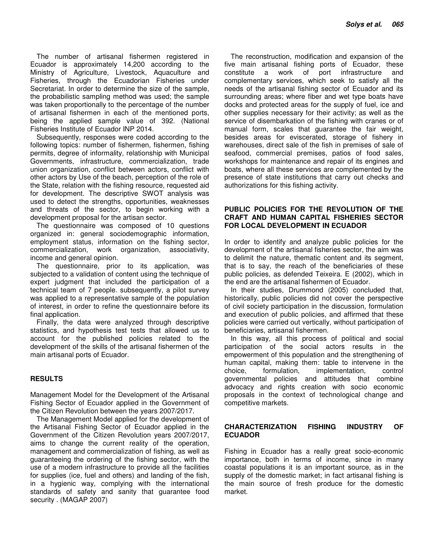The number of artisanal fishermen registered in Ecuador is approximately 14,200 according to the Ministry of Agriculture, Livestock, Aquaculture and Fisheries, through the Ecuadorian Fisheries under Secretariat. In order to determine the size of the sample, the probabilistic sampling method was used; the sample was taken proportionally to the percentage of the number of artisanal fishermen in each of the mentioned ports, being the applied sample value of 392. (National Fisheries Institute of Ecuador INP 2014.

Subsequently, responses were coded according to the following topics: number of fishermen, fishermen, fishing permits, degree of informality, relationship with Municipal Governments, infrastructure, commercialization, trade union organization, conflict between actors, conflict with other actors by Use of the beach, perception of the role of the State, relation with the fishing resource, requested aid for development. The descriptive SWOT analysis was used to detect the strengths, opportunities, weaknesses and threats of the sector, to begin working with a development proposal for the artisan sector.

The questionnaire was composed of 10 questions organized in: general sociodemographic information, employment status, information on the fishing sector, commercialization, work organization, associativity, income and general opinion.

The questionnaire, prior to its application, was subjected to a validation of content using the technique of expert judgment that included the participation of a technical team of 7 people. subsequently, a pilot survey was applied to a representative sample of the population of interest, in order to refine the questionnaire before its final application.

Finally, the data were analyzed through descriptive statistics, and hypothesis test tests that allowed us to account for the published policies related to the development of the skills of the artisanal fishermen of the main artisanal ports of Ecuador.

## **RESULTS**

Management Model for the Development of the Artisanal Fishing Sector of Ecuador applied in the Government of the Citizen Revolution between the years 2007/2017.

The Management Model applied for the development of the Artisanal Fishing Sector of Ecuador applied in the Government of the Citizen Revolution years 2007/2017, aims to change the current reality of the operation, management and commercialization of fishing, as well as guaranteeing the ordering of the fishing sector, with the use of a modern infrastructure to provide all the facilities for supplies (ice, fuel and others) and landing of the fish, in a hygienic way, complying with the international standards of safety and sanity that guarantee food security . (MAGAP 2007)

The reconstruction, modification and expansion of the five main artisanal fishing ports of Ecuador, these constitute a work of port infrastructure and complementary services, which seek to satisfy all the needs of the artisanal fishing sector of Ecuador and its surrounding areas; where fiber and wet type boats have docks and protected areas for the supply of fuel, ice and other supplies necessary for their activity; as well as the service of disembarkation of the fishing with cranes or of manual form, scales that guarantee the fair weight, besides areas for eviscerated, storage of fishery in warehouses, direct sale of the fish in premises of sale of seafood, commercial premises, patios of food sales, workshops for maintenance and repair of its engines and boats, where all these services are complemented by the presence of state institutions that carry out checks and authorizations for this fishing activity.

## **PUBLIC POLICIES FOR THE REVOLUTION OF THE CRAFT AND HUMAN CAPITAL FISHERIES SECTOR FOR LOCAL DEVELOPMENT IN ECUADOR**

In order to identify and analyze public policies for the development of the artisanal fisheries sector, the aim was to delimit the nature, thematic content and its segment, that is to say, the reach of the beneficiaries of these public policies, as defended Teixeira. E (2002), which in the end are the artisanal fishermen of Ecuador.

In their studies, Drummond (2005) concluded that, historically, public policies did not cover the perspective of civil society participation in the discussion, formulation and execution of public policies, and affirmed that these policies were carried out vertically, without participation of beneficiaries, artisanal fishermen.

In this way, all this process of political and social participation of the social actors results in the empowerment of this population and the strengthening of human capital, making them: table to intervene in the choice, formulation, implementation, control governmental policies and attitudes that combine advocacy and rights creation with socio economic proposals in the context of technological change and competitive markets.

## **CHARACTERIZATION FISHING INDUSTRY OF ECUADOR**

Fishing in Ecuador has a really great socio-economic importance, both in terms of income, since in many coastal populations it is an important source, as in the supply of the domestic market; in fact artisanal fishing is the main source of fresh produce for the domestic market.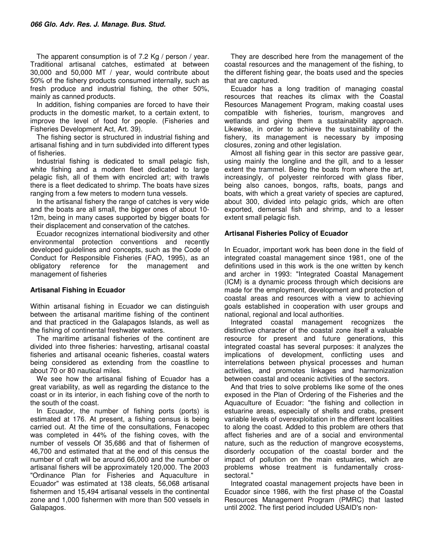The apparent consumption is of 7.2 Kg / person / year. Traditional artisanal catches, estimated at between 30,000 and 50,000 MT / year, would contribute about 50% of the fishery products consumed internally, such as fresh produce and industrial fishing, the other 50%, mainly as canned products.

In addition, fishing companies are forced to have their products in the domestic market, to a certain extent, to improve the level of food for people. (Fisheries and Fisheries Development Act, Art. 39).

The fishing sector is structured in industrial fishing and artisanal fishing and in turn subdivided into different types of fisheries.

Industrial fishing is dedicated to small pelagic fish, white fishing and a modern fleet dedicated to large pelagic fish, all of them with encircled art; with trawls there is a fleet dedicated to shrimp. The boats have sizes ranging from a few meters to modern tuna vessels.

In the artisanal fishery the range of catches is very wide and the boats are all small, the bigger ones of about 10- 12m, being in many cases supported by bigger boats for their displacement and conservation of the catches.

Ecuador recognizes international biodiversity and other environmental protection conventions and recently developed guidelines and concepts, such as the Code of Conduct for Responsible Fisheries (FAO, 1995), as an obligatory reference for the management and management of fisheries

## **Artisanal Fishing in Ecuador**

Within artisanal fishing in Ecuador we can distinguish between the artisanal maritime fishing of the continent and that practiced in the Galapagos Islands, as well as the fishing of continental freshwater waters.

The maritime artisanal fisheries of the continent are divided into three fisheries: harvesting, artisanal coastal fisheries and artisanal oceanic fisheries, coastal waters being considered as extending from the coastline to about 70 or 80 nautical miles.

We see how the artisanal fishing of Ecuador has a great variability, as well as regarding the distance to the coast or in its interior, in each fishing cove of the north to the south of the coast.

In Ecuador, the number of fishing ports (ports) is estimated at 176. At present, a fishing census is being carried out. At the time of the consultations, Fenacopec was completed in 44% of the fishing coves, with the number of vessels Of 35,686 and that of fishermen of 46,700 and estimated that at the end of this census the number of craft will be around 66,000 and the number of artisanal fishers will be approximately 120,000. The 2003 "Ordinance Plan for Fisheries and Aquaculture in Ecuador" was estimated at 138 cleats, 56,068 artisanal fishermen and 15,494 artisanal vessels in the continental zone and 1,000 fishermen with more than 500 vessels in Galapagos.

They are described here from the management of the coastal resources and the management of the fishing, to the different fishing gear, the boats used and the species that are captured.

Ecuador has a long tradition of managing coastal resources that reaches its climax with the Coastal Resources Management Program, making coastal uses compatible with fisheries, tourism, mangroves and wetlands and giving them a sustainability approach. Likewise, in order to achieve the sustainability of the fishery, its management is necessary by imposing closures, zoning and other legislation.

Almost all fishing gear in this sector are passive gear, using mainly the longline and the gill, and to a lesser extent the trammel. Being the boats from where the art, increasingly, of polyester reinforced with glass fiber, being also canoes, bongos, rafts, boats, pangs and boats, with which a great variety of species are captured, about 300, divided into pelagic grids, which are often exported, demersal fish and shrimp, and to a lesser extent small pelagic fish.

## **Artisanal Fisheries Policy of Ecuador**

In Ecuador, important work has been done in the field of integrated coastal management since 1981, one of the definitions used in this work is the one written by kench and archer in 1993: "Integrated Coastal Management (ICM) is a dynamic process through which decisions are made for the employment, development and protection of coastal areas and resources with a view to achieving goals established in cooperation with user groups and national, regional and local authorities.

Integrated coastal management recognizes the distinctive character of the coastal zone itself a valuable resource for present and future generations, this integrated coastal has several purposes: it analyzes the implications of development, conflicting uses and interrelations between physical processes and human activities, and promotes linkages and harmonization between coastal and oceanic activities of the sectors.

And that tries to solve problems like some of the ones exposed in the Plan of Ordering of the Fisheries and the Aquaculture of Ecuador: "the fishing and collection in estuarine areas, especially of shells and crabs, present variable levels of overexploitation in the different localities to along the coast. Added to this problem are others that affect fisheries and are of a social and environmental nature, such as the reduction of mangrove ecosystems, disorderly occupation of the coastal border and the impact of pollution on the main estuaries, which are problems whose treatment is fundamentally crosssectoral."

Integrated coastal management projects have been in Ecuador since 1986, with the first phase of the Coastal Resources Management Program (PMRC) that lasted until 2002. The first period included USAID's non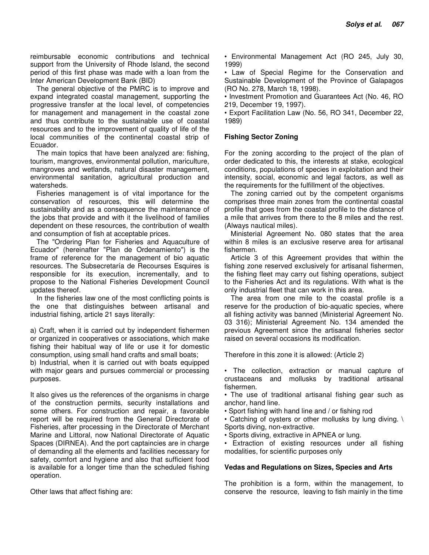reimbursable economic contributions and technical support from the University of Rhode Island, the second period of this first phase was made with a loan from the Inter American Development Bank (BID)

The general objective of the PMRC is to improve and expand integrated coastal management, supporting the progressive transfer at the local level, of competencies for management and management in the coastal zone and thus contribute to the sustainable use of coastal resources and to the improvement of quality of life of the local communities of the continental coastal strip of Ecuador.

The main topics that have been analyzed are: fishing, tourism, mangroves, environmental pollution, mariculture, mangroves and wetlands, natural disaster management, environmental sanitation, agricultural production and watersheds.

Fisheries management is of vital importance for the conservation of resources, this will determine the sustainability and as a consequence the maintenance of the jobs that provide and with it the livelihood of families dependent on these resources, the contribution of wealth and consumption of fish at acceptable prices.

The "Ordering Plan for Fisheries and Aquaculture of Ecuador" (hereinafter "Plan de Ordenamiento") is the frame of reference for the management of bio aquatic resources. The Subsecretaría de Recourses Esquires is responsible for its execution, incrementally, and to propose to the National Fisheries Development Council updates thereof.

In the fisheries law one of the most conflicting points is the one that distinguishes between artisanal and industrial fishing, article 21 says literally:

a) Craft, when it is carried out by independent fishermen or organized in cooperatives or associations, which make fishing their habitual way of life or use it for domestic consumption, using small hand crafts and small boats;

b) Industrial, when it is carried out with boats equipped with major gears and pursues commercial or processing purposes.

It also gives us the references of the organisms in charge of the construction permits, security installations and some others. For construction and repair, a favorable report will be required from the General Directorate of Fisheries, after processing in the Directorate of Merchant Marine and Littoral, now National Directorate of Aquatic Spaces (DIRNEA). And the port captaincies are in charge of demanding all the elements and facilities necessary for safety, comfort and hygiene and also that sufficient food is available for a longer time than the scheduled fishing operation.

Other laws that affect fishing are:

• Environmental Management Act (RO 245, July 30, 1999)

• Law of Special Regime for the Conservation and Sustainable Development of the Province of Galapagos (RO No. 278, March 18, 1998).

• Investment Promotion and Guarantees Act (No. 46, RO 219, December 19, 1997).

• Export Facilitation Law (No. 56, RO 341, December 22, 1989)

## **Fishing Sector Zoning**

For the zoning according to the project of the plan of order dedicated to this, the interests at stake, ecological conditions, populations of species in exploitation and their intensity, social, economic and legal factors, as well as the requirements for the fulfillment of the objectives.

The zoning carried out by the competent organisms comprises three main zones from the continental coastal profile that goes from the coastal profile to the distance of a mile that arrives from there to the 8 miles and the rest. (Always nautical miles).

Ministerial Agreement No. 080 states that the area within 8 miles is an exclusive reserve area for artisanal fishermen.

Article 3 of this Agreement provides that within the fishing zone reserved exclusively for artisanal fishermen, the fishing fleet may carry out fishing operations, subject to the Fisheries Act and its regulations. With what is the only industrial fleet that can work in this area.

The area from one mile to the coastal profile is a reserve for the production of bio-aquatic species, where all fishing activity was banned (Ministerial Agreement No. 03 316); Ministerial Agreement No. 134 amended the previous Agreement since the artisanal fisheries sector raised on several occasions its modification.

Therefore in this zone it is allowed: (Article 2)

• The collection, extraction or manual capture of crustaceans and mollusks by traditional artisanal fishermen.

• The use of traditional artisanal fishing gear such as anchor, hand line.

• Sport fishing with hand line and / or fishing rod

• Catching of oysters or other mollusks by lung diving. \ Sports diving, non-extractive.

• Sports diving, extractive in APNEA or lung.

• Extraction of existing resources under all fishing modalities, for scientific purposes only

## **Vedas and Regulations on Sizes, Species and Arts**

The prohibition is a form, within the management, to conserve the resource, leaving to fish mainly in the time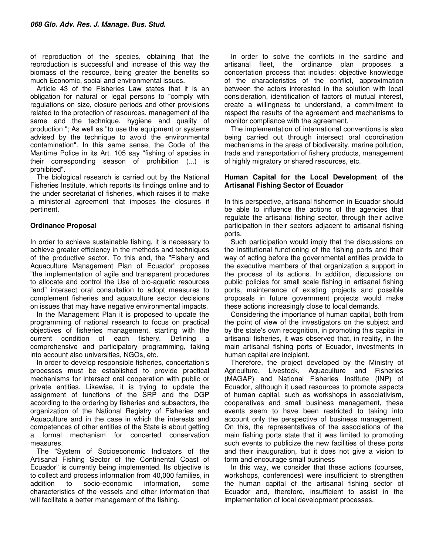of reproduction of the species, obtaining that the reproduction is successful and increase of this way the biomass of the resource, being greater the benefits so much Economic, social and environmental issues.

Article 43 of the Fisheries Law states that it is an obligation for natural or legal persons to "comply with regulations on size, closure periods and other provisions related to the protection of resources, management of the same and the technique, hygiene and quality of production "; As well as "to use the equipment or systems advised by the technique to avoid the environmental contamination". In this same sense, the Code of the Maritime Police in its Art. 105 say "fishing of species in their corresponding season of prohibition (...) is prohibited".

The biological research is carried out by the National Fisheries Institute, which reports its findings online and to the under secretariat of fisheries, which raises it to make a ministerial agreement that imposes the closures if pertinent.

## **Ordinance Proposal**

In order to achieve sustainable fishing, it is necessary to achieve greater efficiency in the methods and techniques of the productive sector. To this end, the "Fishery and Aquaculture Management Plan of Ecuador" proposes "the implementation of agile and transparent procedures to allocate and control the Use of bio-aquatic resources "and" intersect oral consultation to adopt measures to complement fisheries and aquaculture sector decisions on issues that may have negative environmental impacts.

In the Management Plan it is proposed to update the programming of national research to focus on practical objectives of fisheries management, starting with the current condition of each fishery. Defining a comprehensive and participatory programming, taking into account also universities, NGOs, etc.

In order to develop responsible fisheries, concertation's processes must be established to provide practical mechanisms for intersect oral cooperation with public or private entities. Likewise, it is trying to update the assignment of functions of the SRP and the DGP according to the ordering by fisheries and subsectors, the organization of the National Registry of Fisheries and Aquaculture and in the case in which the interests and competences of other entities of the State is about getting a formal mechanism for concerted conservation measures.

The "System of Socioeconomic Indicators of the Artisanal Fishing Sector of the Continental Coast of Ecuador" is currently being implemented. Its objective is to collect and process information from 40,000 families, in addition to socio-economic information, some characteristics of the vessels and other information that will facilitate a better management of the fishing.

In order to solve the conflicts in the sardine and artisanal fleet, the ordinance plan proposes a concertation process that includes: objective knowledge of the characteristics of the conflict, approximation between the actors interested in the solution with local consideration, identification of factors of mutual interest, create a willingness to understand, a commitment to respect the results of the agreement and mechanisms to monitor compliance with the agreement.

The implementation of international conventions is also being carried out through intersect oral coordination mechanisms in the areas of biodiversity, marine pollution, trade and transportation of fishery products, management of highly migratory or shared resources, etc.

#### **Human Capital for the Local Development of the Artisanal Fishing Sector of Ecuador**

In this perspective, artisanal fishermen in Ecuador should be able to influence the actions of the agencies that regulate the artisanal fishing sector, through their active participation in their sectors adjacent to artisanal fishing ports.

Such participation would imply that the discussions on the institutional functioning of the fishing ports and their way of acting before the governmental entities provide to the executive members of that organization a support in the process of its actions. In addition, discussions on public policies for small scale fishing in artisanal fishing ports, maintenance of existing projects and possible proposals in future government projects would make these actions increasingly close to local demands.

Considering the importance of human capital, both from the point of view of the investigators on the subject and by the state's own recognition, in promoting this capital in artisanal fisheries, it was observed that, in reality, in the main artisanal fishing ports of Ecuador, investments in human capital are incipient.

Therefore, the project developed by the Ministry of Agriculture, Livestock, Aquaculture and Fisheries (MAGAP) and National Fisheries Institute (INP) of Ecuador, although it used resources to promote aspects of human capital, such as workshops in associativism, cooperatives and small business management, these events seem to have been restricted to taking into account only the perspective of business management. On this, the representatives of the associations of the main fishing ports state that it was limited to promoting such events to publicize the new facilities of these ports and their inauguration, but it does not give a vision to form and encourage small business

In this way, we consider that these actions (courses, workshops, conferences) were insufficient to strengthen the human capital of the artisanal fishing sector of Ecuador and, therefore, insufficient to assist in the implementation of local development processes.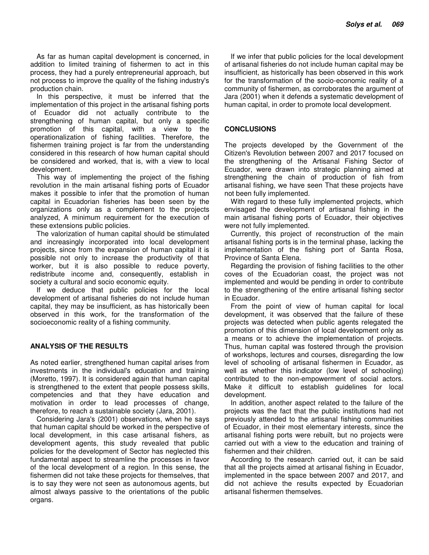As far as human capital development is concerned, in addition to limited training of fishermen to act in this process, they had a purely entrepreneurial approach, but not process to improve the quality of the fishing industry's production chain.

In this perspective, it must be inferred that the implementation of this project in the artisanal fishing ports of Ecuador did not actually contribute to the strengthening of human capital, but only a specific promotion of this capital, with a view to the operationalization of fishing facilities. Therefore, the fishermen training project is far from the understanding considered in this research of how human capital should be considered and worked, that is, with a view to local development.

This way of implementing the project of the fishing revolution in the main artisanal fishing ports of Ecuador makes it possible to infer that the promotion of human capital in Ecuadorian fisheries has been seen by the organizations only as a complement to the projects analyzed, A minimum requirement for the execution of these extensions public policies.

The valorization of human capital should be stimulated and increasingly incorporated into local development projects, since from the expansion of human capital it is possible not only to increase the productivity of that worker, but it is also possible to reduce poverty, redistribute income and, consequently, establish in society a cultural and socio economic equity.

If we deduce that public policies for the local development of artisanal fisheries do not include human capital, they may be insufficient, as has historically been observed in this work, for the transformation of the socioeconomic reality of a fishing community.

## **ANALYSIS OF THE RESULTS**

As noted earlier, strengthened human capital arises from investments in the individual's education and training (Moretto, 1997). It is considered again that human capital is strengthened to the extent that people possess skills, competencies and that they have education and motivation in order to lead processes of change, therefore, to reach a sustainable society (Jara, 2001).

Considering Jara's (2001) observations, when he says that human capital should be worked in the perspective of local development, in this case artisanal fishers, as development agents, this study revealed that public policies for the development of Sector has neglected this fundamental aspect to streamline the processes in favor of the local development of a region. In this sense, the fishermen did not take these projects for themselves, that is to say they were not seen as autonomous agents, but almost always passive to the orientations of the public organs.

If we infer that public policies for the local development of artisanal fisheries do not include human capital may be insufficient, as historically has been observed in this work for the transformation of the socio-economic reality of a community of fishermen, as corroborates the argument of Jara (2001) when it defends a systematic development of human capital, in order to promote local development.

## **CONCLUSIONS**

The projects developed by the Government of the Citizen's Revolution between 2007 and 2017 focused on the strengthening of the Artisanal Fishing Sector of Ecuador, were drawn into strategic planning aimed at strengthening the chain of production of fish from artisanal fishing, we have seen That these projects have not been fully implemented.

With regard to these fully implemented projects, which envisaged the development of artisanal fishing in the main artisanal fishing ports of Ecuador, their objectives were not fully implemented.

Currently, this project of reconstruction of the main artisanal fishing ports is in the terminal phase, lacking the implementation of the fishing port of Santa Rosa, Province of Santa Elena.

Regarding the provision of fishing facilities to the other coves of the Ecuadorian coast, the project was not implemented and would be pending in order to contribute to the strengthening of the entire artisanal fishing sector in Ecuador.

From the point of view of human capital for local development, it was observed that the failure of these projects was detected when public agents relegated the promotion of this dimension of local development only as a means or to achieve the implementation of projects. Thus, human capital was fostered through the provision of workshops, lectures and courses, disregarding the low level of schooling of artisanal fishermen in Ecuador, as well as whether this indicator (low level of schooling) contributed to the non-empowerment of social actors. Make it difficult to establish guidelines for local development.

In addition, another aspect related to the failure of the projects was the fact that the public institutions had not previously attended to the artisanal fishing communities of Ecuador, in their most elementary interests, since the artisanal fishing ports were rebuilt, but no projects were carried out with a view to the education and training of fishermen and their children.

According to the research carried out, it can be said that all the projects aimed at artisanal fishing in Ecuador, implemented in the space between 2007 and 2017, and did not achieve the results expected by Ecuadorian artisanal fishermen themselves.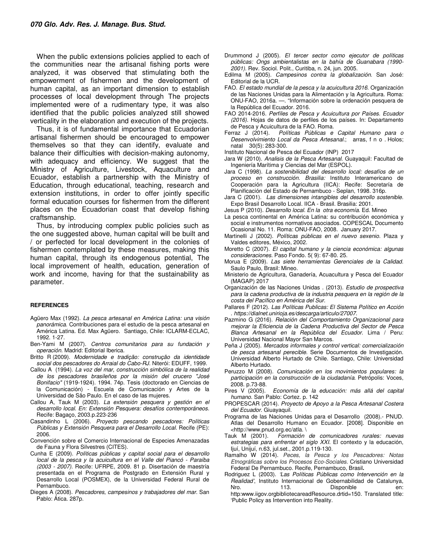When the public extensions policies applied to each of the communities near the artisanal fishing ports were analyzed, it was observed that stimulating both the empowerment of fishermen and the development of human capital, as an important dimension to establish processes of local development through The projects implemented were of a rudimentary type, it was also identified that the public policies analyzed still showed verticality in the elaboration and execution of the projects.

Thus, it is of fundamental importance that Ecuadorian artisanal fishermen should be encouraged to empower themselves so that they can identify, evaluate and balance their difficulties with decision-making autonomy, with adequacy and efficiency. We suggest that the Ministry of Agriculture, Livestock, Aquaculture and Ecuador, establish a partnership with the Ministry of Education, through educational, teaching, research and extension institutions, in order to offer jointly specific formal education courses for fishermen from the different places on the Ecuadorian coast that develop fishing craftsmanship.

Thus, by introducing complex public policies such as the one suggested above, human capital will be built and / or perfected for local development in the colonies of fishermen contemplated by these measures, making this human capital, through its endogenous potential, The local improvement of health, education, generation of work and income, having for that the sustainability as parameter.

#### **REFERENCES**

- Agüero Max (1992). La pesca artesanal en América Latina: una visión panorámica. Contribuciones para el estudio de la pesca artesanal en América Latina. Ed. Max Agüero. Santiago, Chile: ICLARM-ECLAC, 1992. 1-27.
- Ben-Yami M (2007). Centros comunitarios para su fundación y *operación.* Madrid: Editorial Iberica.
- Britto R (2009). Modernidade e tradição: construção da identidade social dos pescadores do Arraial do Cabo-RJ. Niterói: EDUFF, 1999.
- Callou A (1994). La voz del mar, construcción simbólica de la realidad de los pescadores brasileños por la misión del crucero "José Bonifacio" (1919-1924). 1994. 74p. Tesis (doctorado en Ciencias de la Comunicación) - Escuela de Comunicación y Artes de la Universidad de São Paulo. En el caso de las mujeres.
- Callou A, Tauk M (2003). La extensión pesquera y gestión en el desarrollo local. En: Extensión Pesquera: desafíos contemporáneos. Recife: Bagaço, 2003.p.223-236
- Casandinho L (2006). Proyecto pescando pescadores: Políticas Públicas y Extensión Pesquera para el Desarrollo Local. Recife (PE): 2006.
- Convención sobre el Comercio Internacional de Especies Amenazadas de Fauna y Flora Silvestres (CITES).
- Cunha E (2009). Políticas públicas y capital social para el desarrollo local de la pesca y la acuicultura en el Valle del Piancó - Paraíba (2003 - 2007). Recife: UFRPE, 2009. 81 p. Disertación de maestría presentada en el Programa de Postgrado en Extensión Rural y Desarrollo Local (POSMEX), de la Universidad Federal Rural de Pernambuco.
- Dieges A (2008). Pescadores, campesinos y trabajadores del mar. San Pablo: Ática. 287p.
- Drummond J (2005). El tercer sector como ejecutor de políticas públicas: Ongs ambientalistas en la bahía de Guanabara (1990- 2001). Rev. Sociol. Polit., Curitiba, n. 24, jun. 2005.
- Edilma M (2005). Campesinos contra la globalización. San José: Editorial de la UCR.
- FAO. El estado mundial de la pesca y la acuicultura 2016. Organización de las Naciones Unidas para la Alimentación y la Agricultura. Roma: ONU-FAO, 2016a. —. "Información sobre la ordenación pesquera de la República del Ecuador. 2016.
- FAO 2014-2016. Perfíles de Pesca y Acuicultura por Países. Ecuador (2016). Hojas de datos de perfiles de los países. In: Departamento de Pesca y Acuicultura de la FAO. Roma.
- Ferraz J (2014). Políticas Públicas e Capital Humano para o Desenvolvimiento Local da Pesca Artesanal.; arras, f n o . Holos; natal30(5): 283-300.
- Instituto Nacional de Pesca del Ecuador (INP) 2017
- Jara W (2010). Analisis de la Pesca Artesanal. Guayaquil: Facultad de Ingeniería Marítima y Ciencias del Mar (ESPOL).
- Jara C (1998). La sostenibilidad del desarrollo local: desafíos de un proceso en construcción. Brasilia: Instituto Interamericano de Cooperación para la Agricultura (IICA): Recife: Secretaría de Planificación del Estado de Pernambuco - Seplan, 1998. 316p.
- Jara C (2001). Las dimensiones intangibles del desarrollo sostenible. Expo Brasil Desarrollo Local. IICA - Brasil. Brasilia: 2001.
- Jesus P (2010). *Desarrollo local. En la otra economía.* Ed. Mineo
- La pesca continental en América Latina: su contribución económica y social e instrumentos normativos asociados. COPESCAL Documento Ocasional No. 11. Roma: ONU-FAO, 2008. January 2017.
- Martinelli J (2002). Políticas públicas en el nuevo sexenio. Plaza y Valdes editores, México, 2002.
- Moretto C (2007). El capital humano y la ciencia económica: algunas consideraciones. Paso Fondo. 5( 9): 67-80. 25.
- Morua E (2009). Las siete herramientas Gerenciales de la Calidad. Saulo Paulo, Brasil: Mineo.
- Ministerio de Agricultura, Ganadería, Acuacultura y Pesca del Ecuador (MAGAP) 2017
- Organización de las Naciones Unidas . (2013). Estudio de prospectiva para la cadena productiva de la industria pesquera en la región de la costa del Pacífico en América del Sur.
- Pallares F (2012). Las Políticas Publicas: El Sistema Político en Acción . https://dialnet.unirioja.es/descarga/articulo/27007.
- Pazmino G (2016). Relación del Comportamiento Organizacional para mejorar la Eficiencia de la Cadena Productiva del Sector de Pesca Blanca Artesanal en la República del Ecuador. Lima / Peru: Universidad Nacional Mayor San Marcos.
- Peña J (2005). Mercados informales y control vertical: comercialización de pesca artesanal perecible. Serie Documentos de Investigación. Universidad Alberto Hurtado de Chile. Santiago, Chile: Universidad Alberto Hurtado.
- Peruzzo M (2008). Comunicación en los movimientos populares: la participación en la construcción de la ciudadanía. Petrópolis: Voces, 2008. p.73-88.<br>Pires V (2005).
- Economía de la educación: más allá del capital humano. San Pablo: Cortez. p. 142
- PROPESCAR (2014). Proyecto de Apoyo a la Pesca Artesanal Costera del Ecuador. Giuayaquil.
- Programa de las Naciones Unidas para el Desarrollo (2008).- PNUD. Atlas del Desarrollo Humano en Ecuador. [2008]. Disponible en <http://www.pnud.org.ec/atla. \
- Tauk M (2001). Formación de comunicadores rurales: nuevas estrategias para enfrentar el siglo XXI. El contexto y la educación, Ijuí, Unijuí, n.63, jul.set., 2001.p.119-130.
- Ramalho W (2014). Peces, la Pesca y los Pescadores: Notas Etnográficas sobre los Procesos Eco-Sociales. Cristiano Universidad Federal De Pernambuco. Recife, Pernambuco, Brasil**.**
- Rodriguez L (2003). 'Las Políticas Públicas como Intervención en la Realidad', Instituto Internacional de Gobernabilidad de Catalunya, Nro. 113. Disponible en: http:www.iigov.orgbibliotecareadResource.drtid=150. Translated title:

'Public Policy as Intervention into Reality.